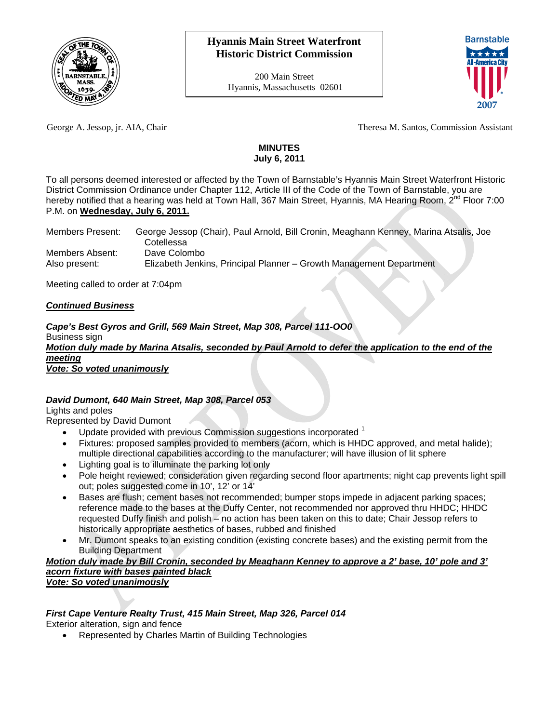

200 Main Street Hyannis, Massachusetts 02601



George A. Jessop, jr. AIA, Chair Theresa M. Santos, Commission Assistant

# **MINUTES July 6, 2011**

To all persons deemed interested or affected by the Town of Barnstable's Hyannis Main Street Waterfront Historic District Commission Ordinance under Chapter 112, Article III of the Code of the Town of Barnstable, you are hereby notified that a hearing was held at Town Hall, 367 Main Street, Hyannis, MA Hearing Room, 2<sup>nd</sup> Floor 7:00 P.M. on **Wednesday, July 6, 2011.**

| Members Present: | George Jessop (Chair), Paul Arnold, Bill Cronin, Meaghann Kenney, Marina Atsalis, Joe |
|------------------|---------------------------------------------------------------------------------------|
|                  | ು cotellessa                                                                          |
| Members Absent:  | Dave Colombo                                                                          |
| Also present:    | Elizabeth Jenkins, Principal Planner - Growth Management Department                   |

Meeting called to order at 7:04pm

## *Continued Business*

*Cape's Best Gyros and Grill, 569 Main Street, Map 308, Parcel 111-OO0*  Business sign *Motion duly made by Marina Atsalis, seconded by Paul Arnold to defer the application to the end of the meeting*

*Vote: So voted unanimously*

## *David Dumont, 640 Main Street, Map 308, Parcel 053*

Lights and poles

Represented by David Dumont

- Update provided with previous Commission suggestions incorporated <sup>1</sup>
- Fixtures: proposed samples provided to members (acorn, which is HHDC approved, and metal halide); multiple directional capabilities according to the manufacturer; will have illusion of lit sphere
- Lighting goal is to illuminate the parking lot only
- Pole height reviewed; consideration given regarding second floor apartments; night cap prevents light spill out; poles suggested come in 10', 12' or 14'
- Bases are flush; cement bases not recommended; bumper stops impede in adjacent parking spaces; reference made to the bases at the Duffy Center, not recommended nor approved thru HHDC; HHDC requested Duffy finish and polish – no action has been taken on this to date; Chair Jessop refers to historically appropriate aesthetics of bases, rubbed and finished
- Mr. Dumont speaks to an existing condition (existing concrete bases) and the existing permit from the Building Department

#### *Motion duly made by Bill Cronin, seconded by Meaghann Kenney to approve a 2' base, 10' pole and 3' acorn fixture with bases painted black Vote: So voted unanimously*

# *First Cape Venture Realty Trust, 415 Main Street, Map 326, Parcel 014*

Exterior alteration, sign and fence

Represented by Charles Martin of Building Technologies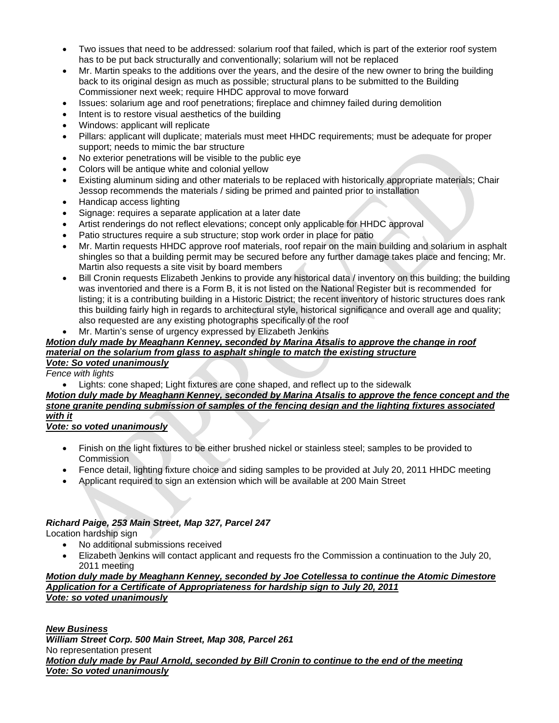- Two issues that need to be addressed: solarium roof that failed, which is part of the exterior roof system has to be put back structurally and conventionally; solarium will not be replaced
- Mr. Martin speaks to the additions over the years, and the desire of the new owner to bring the building back to its original design as much as possible; structural plans to be submitted to the Building Commissioner next week; require HHDC approval to move forward
- Issues: solarium age and roof penetrations; fireplace and chimney failed during demolition
- Intent is to restore visual aesthetics of the building
- Windows: applicant will replicate
- Pillars: applicant will duplicate; materials must meet HHDC requirements; must be adequate for proper support; needs to mimic the bar structure
- No exterior penetrations will be visible to the public eye
- Colors will be antique white and colonial yellow
- Existing aluminum siding and other materials to be replaced with historically appropriate materials; Chair Jessop recommends the materials / siding be primed and painted prior to installation
- Handicap access lighting
- Signage: requires a separate application at a later date
- Artist renderings do not reflect elevations; concept only applicable for HHDC approval
- Patio structures require a sub structure; stop work order in place for patio
- Mr. Martin requests HHDC approve roof materials, roof repair on the main building and solarium in asphalt shingles so that a building permit may be secured before any further damage takes place and fencing; Mr. Martin also requests a site visit by board members
- Bill Cronin requests Elizabeth Jenkins to provide any historical data / inventory on this building; the building was inventoried and there is a Form B, it is not listed on the National Register but is recommended for listing; it is a contributing building in a Historic District; the recent inventory of historic structures does rank this building fairly high in regards to architectural style, historical significance and overall age and quality; also requested are any existing photographs specifically of the roof
- Mr. Martin's sense of urgency expressed by Elizabeth Jenkins

#### *Motion duly made by Meaghann Kenney, seconded by Marina Atsalis to approve the change in roof material on the solarium from glass to asphalt shingle to match the existing structure Vote: So voted unanimously*

*Fence with lights* 

Lights: cone shaped; Light fixtures are cone shaped, and reflect up to the sidewalk

## *Motion duly made by Meaghann Kenney, seconded by Marina Atsalis to approve the fence concept and the stone granite pending submission of samples of the fencing design and the lighting fixtures associated with it*

## *Vote: so voted unanimously*

- Finish on the light fixtures to be either brushed nickel or stainless steel; samples to be provided to **Commission**
- Fence detail, lighting fixture choice and siding samples to be provided at July 20, 2011 HHDC meeting
- Applicant required to sign an extension which will be available at 200 Main Street

# *Richard Paige, 253 Main Street, Map 327, Parcel 247*

Location hardship sign

- No additional submissions received
- Elizabeth Jenkins will contact applicant and requests fro the Commission a continuation to the July 20, 2011 meeting

#### *Motion duly made by Meaghann Kenney, seconded by Joe Cotellessa to continue the Atomic Dimestore Application for a Certificate of Appropriateness for hardship sign to July 20, 2011 Vote: so voted unanimously*

*New Business William Street Corp. 500 Main Street, Map 308, Parcel 261*  No representation present *Motion duly made by Paul Arnold, seconded by Bill Cronin to continue to the end of the meeting Vote: So voted unanimously*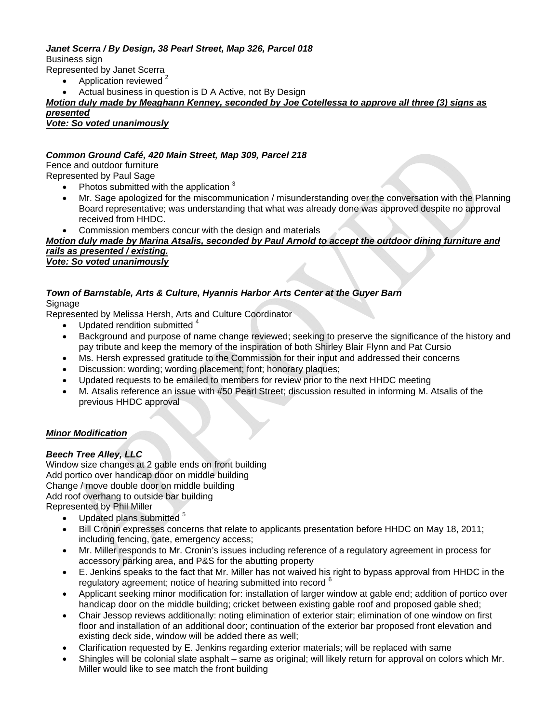#### *Janet Scerra / By Design, 38 Pearl Street, Map 326, Parcel 018*  Business sign

Represented by Janet Scerra

- Application reviewed<sup>2</sup>
- Actual business in question is D A Active, not By Design

## *Motion duly made by Meaghann Kenney, seconded by Joe Cotellessa to approve all three (3) signs as presented*

*Vote: So voted unanimously*

## *Common Ground Café, 420 Main Street, Map 309, Parcel 218*

Fence and outdoor furniture Represented by Paul Sage

- Photos submitted with the application <sup>3</sup>
- Mr. Sage apologized for the miscommunication / misunderstanding over the conversation with the Planning Board representative; was understanding that what was already done was approved despite no approval received from HHDC.
- Commission members concur with the design and materials

#### *Motion duly made by Marina Atsalis, seconded by Paul Arnold to accept the outdoor dining furniture and rails as presented / existing. Vote: So voted unanimously*

#### *Town of Barnstable, Arts & Culture, Hyannis Harbor Arts Center at the Guyer Barn*  Signage

Represented by Melissa Hersh, Arts and Culture Coordinator

- $\bullet$  Updated rendition submitted  $4$
- Background and purpose of name change reviewed; seeking to preserve the significance of the history and pay tribute and keep the memory of the inspiration of both Shirley Blair Flynn and Pat Cursio
- Ms. Hersh expressed gratitude to the Commission for their input and addressed their concerns
- Discussion: wording; wording placement; font; honorary plaques;
- Updated requests to be emailed to members for review prior to the next HHDC meeting
- M. Atsalis reference an issue with #50 Pearl Street; discussion resulted in informing M. Atsalis of the previous HHDC approval

## *Minor Modification*

## *Beech Tree Alley, LLC*

Window size changes at 2 gable ends on front building Add portico over handicap door on middle building Change / move double door on middle building Add roof overhang to outside bar building Represented by Phil Miller

- Updated plans submitted <sup>5</sup>
- Bill Cronin expresses concerns that relate to applicants presentation before HHDC on May 18, 2011; including fencing, gate, emergency access;
- Mr. Miller responds to Mr. Cronin's issues including reference of a regulatory agreement in process for accessory parking area, and P&S for the abutting property
- E. Jenkins speaks to the fact that Mr. Miller has not waived his right to bypass approval from HHDC in the regulatory agreement; notice of hearing submitted into record <sup>6</sup>
- Applicant seeking minor modification for: installation of larger window at gable end; addition of portico over handicap door on the middle building; cricket between existing gable roof and proposed gable shed;
- Chair Jessop reviews additionally: noting elimination of exterior stair; elimination of one window on first floor and installation of an additional door; continuation of the exterior bar proposed front elevation and existing deck side, window will be added there as well;
- Clarification requested by E. Jenkins regarding exterior materials; will be replaced with same
- Shingles will be colonial slate asphalt same as original; will likely return for approval on colors which Mr. Miller would like to see match the front building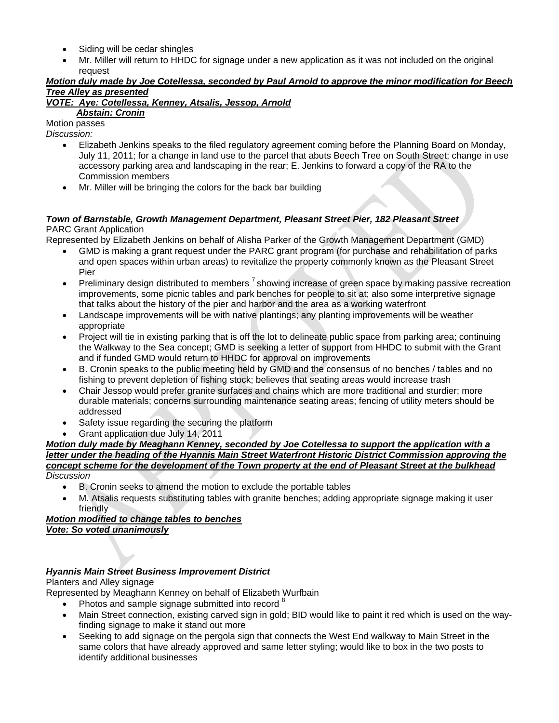- Siding will be cedar shingles
- Mr. Miller will return to HHDC for signage under a new application as it was not included on the original request

## *Motion duly made by Joe Cotellessa, seconded by Paul Arnold to approve the minor modification for Beech Tree Alley as presented*

# *VOTE: Aye: Cotellessa, Kenney, Atsalis, Jessop, Arnold*

# *Abstain: Cronin*

Motion passes *Discussion:* 

- Elizabeth Jenkins speaks to the filed regulatory agreement coming before the Planning Board on Monday, July 11, 2011; for a change in land use to the parcel that abuts Beech Tree on South Street; change in use accessory parking area and landscaping in the rear; E. Jenkins to forward a copy of the RA to the Commission members
- Mr. Miller will be bringing the colors for the back bar building

## *Town of Barnstable, Growth Management Department, Pleasant Street Pier, 182 Pleasant Street*  PARC Grant Application

Represented by Elizabeth Jenkins on behalf of Alisha Parker of the Growth Management Department (GMD)

- GMD is making a grant request under the PARC grant program (for purchase and rehabilitation of parks and open spaces within urban areas) to revitalize the property commonly known as the Pleasant Street Pier
- **Preliminary design distributed to members**  $^7$  showing increase of green space by making passive recreation improvements, some picnic tables and park benches for people to sit at; also some interpretive signage that talks about the history of the pier and harbor and the area as a working waterfront
- Landscape improvements will be with native plantings; any planting improvements will be weather appropriate
- Project will tie in existing parking that is off the lot to delineate public space from parking area; continuing the Walkway to the Sea concept; GMD is seeking a letter of support from HHDC to submit with the Grant and if funded GMD would return to HHDC for approval on improvements
- B. Cronin speaks to the public meeting held by GMD and the consensus of no benches / tables and no fishing to prevent depletion of fishing stock; believes that seating areas would increase trash
- Chair Jessop would prefer granite surfaces and chains which are more traditional and sturdier; more durable materials; concerns surrounding maintenance seating areas; fencing of utility meters should be addressed
- Safety issue regarding the securing the platform
- Grant application due July 14, 2011

#### *Motion duly made by Meaghann Kenney, seconded by Joe Cotellessa to support the application with a letter under the heading of the Hyannis Main Street Waterfront Historic District Commission approving the concept scheme for the development of the Town property at the end of Pleasant Street at the bulkhead Discussion*

- B. Cronin seeks to amend the motion to exclude the portable tables
- M. Atsalis requests substituting tables with granite benches; adding appropriate signage making it user friendly

## *Motion modified to change tables to benches Vote: So voted unanimously*

# *Hyannis Main Street Business Improvement District*

# Planters and Alley signage

Represented by Meaghann Kenney on behalf of Elizabeth Wurfbain

- Photos and sample signage submitted into record <sup>8</sup>
- Main Street connection, existing carved sign in gold; BID would like to paint it red which is used on the wayfinding signage to make it stand out more
- Seeking to add signage on the pergola sign that connects the West End walkway to Main Street in the same colors that have already approved and same letter styling; would like to box in the two posts to identify additional businesses